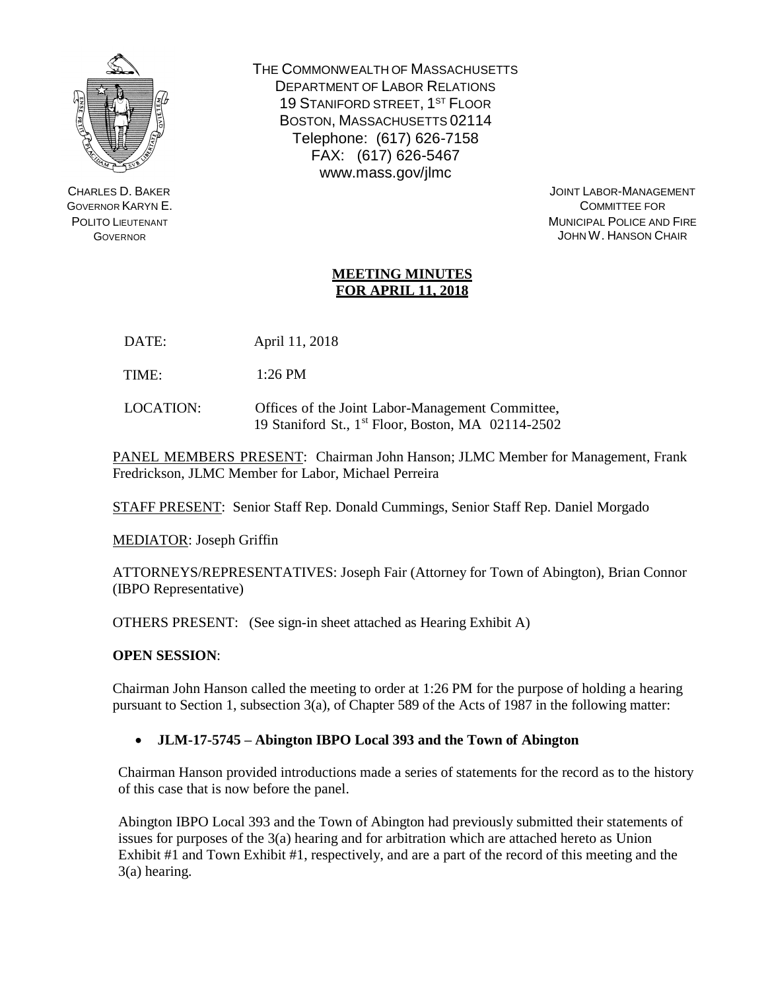

CHARLES D. BAKER GOVERNOR KARYN E. POLITO LIEUTENANT **GOVERNOR** 

THE COMMONWEALTH OF MASSACHUSETTS DEPARTMENT OF LABOR RELATIONS 19 STANIFORD STREET, 1<sup>ST</sup> FLOOR BOSTON, MASSACHUSETTS 02114 Telephone: (617) 626-7158 FAX: (617) 626-546[7](http://www.mass.gov/jlmc) [www.mass.gov/jlmc](http://www.mass.gov/jlmc)

JOINT LABOR-MANAGEMENT COMMITTEE FOR MUNICIPAL POLICE AND FIRE JOHN W. HANSON CHAIR

## **MEETING MINUTES FOR APRIL 11, 2018**

DATE: April 11, 2018

TIME: 1:26 PM

LOCATION: Offices of the Joint Labor-Management Committee, 19 Staniford St., 1 st Floor, Boston, MA 02114-2502

PANEL MEMBERS PRESENT: Chairman John Hanson; JLMC Member for Management, Frank Fredrickson, JLMC Member for Labor, Michael Perreira

STAFF PRESENT: Senior Staff Rep. Donald Cummings, Senior Staff Rep. Daniel Morgado

MEDIATOR: Joseph Griffin

ATTORNEYS/REPRESENTATIVES: Joseph Fair (Attorney for Town of Abington), Brian Connor (IBPO Representative)

OTHERS PRESENT: (See sign-in sheet attached as Hearing Exhibit A)

## **OPEN SESSION**:

Chairman John Hanson called the meeting to order at 1:26 PM for the purpose of holding a hearing pursuant to Section 1, subsection 3(a), of Chapter 589 of the Acts of 1987 in the following matter:

## **JLM-17-5745 – Abington IBPO Local 393 and the Town of Abington**

Chairman Hanson provided introductions made a series of statements for the record as to the history of this case that is now before the panel.

Abington IBPO Local 393 and the Town of Abington had previously submitted their statements of issues for purposes of the 3(a) hearing and for arbitration which are attached hereto as Union Exhibit #1 and Town Exhibit #1, respectively, and are a part of the record of this meeting and the 3(a) hearing.